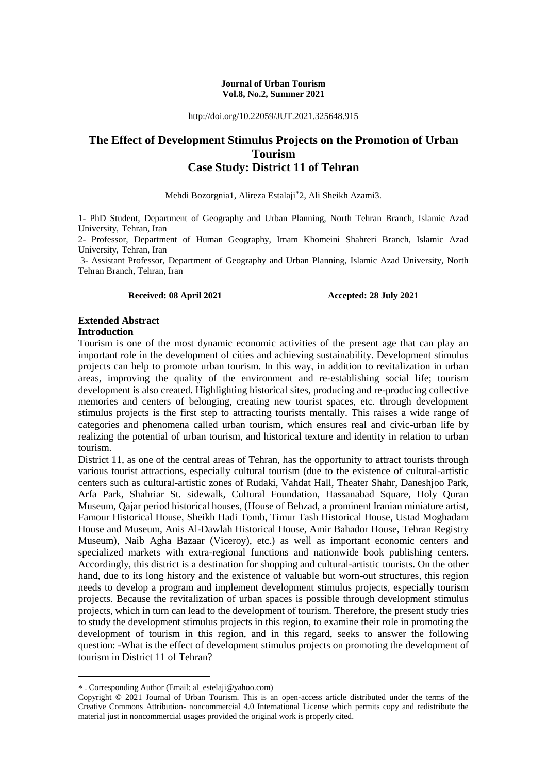#### **Journal of Urban Tourism Vol.8, No.2, Summer 2021**

http://doi.org/10.22059/JUT.2021.325648.915

# **The Effect of Development Stimulus Projects on the Promotion of Urban Tourism Case Study: District 11 of Tehran**

Mehdi Bozorgnia1, Alireza Estalaji 2, Ali Sheikh Azami3.

1- PhD Student, Department of Geography and Urban Planning, North Tehran Branch, Islamic Azad University, Tehran, Iran

2- Professor, Department of Human Geography, Imam Khomeini Shahreri Branch, Islamic Azad University, Tehran, Iran

3- Assistant Professor, Department of Geography and Urban Planning, Islamic Azad University, North Tehran Branch, Tehran, Iran

#### **Received: 08 April 2021 Accepted: 28 July 2021**

### **Extended Abstract Introduction**

Tourism is one of the most dynamic economic activities of the present age that can play an important role in the development of cities and achieving sustainability. Development stimulus projects can help to promote urban tourism. In this way, in addition to revitalization in urban areas, improving the quality of the environment and re-establishing social life; tourism development is also created. Highlighting historical sites, producing and re-producing collective memories and centers of belonging, creating new tourist spaces, etc. through development stimulus projects is the first step to attracting tourists mentally. This raises a wide range of categories and phenomena called urban tourism, which ensures real and civic-urban life by realizing the potential of urban tourism, and historical texture and identity in relation to urban tourism.

District 11, as one of the central areas of Tehran, has the opportunity to attract tourists through various tourist attractions, especially cultural tourism (due to the existence of cultural-artistic centers such as cultural-artistic zones of Rudaki, Vahdat Hall, Theater Shahr, Daneshjoo Park, Arfa Park, Shahriar St. sidewalk, Cultural Foundation, Hassanabad Square, Holy Quran Museum, Qajar period historical houses, (House of Behzad, a prominent Iranian miniature artist, Famour Historical House, Sheikh Hadi Tomb, Timur Tash Historical House, Ustad Moghadam House and Museum, Anis Al-Dawlah Historical House, Amir Bahador House, Tehran Registry Museum), Naib Agha Bazaar (Viceroy), etc.) as well as important economic centers and specialized markets with extra-regional functions and nationwide book publishing centers. Accordingly, this district is a destination for shopping and cultural-artistic tourists. On the other hand, due to its long history and the existence of valuable but worn-out structures, this region needs to develop a program and implement development stimulus projects, especially tourism projects. Because the revitalization of urban spaces is possible through development stimulus projects, which in turn can lead to the development of tourism. Therefore, the present study tries to study the development stimulus projects in this region, to examine their role in promoting the development of tourism in this region, and in this regard, seeks to answer the following question: -What is the effect of development stimulus projects on promoting the development of tourism in District 11 of Tehran?

**.** 

. Corresponding Author (Email: al\_estelaji@yahoo.com)

Copyright © 2021 Journal of Urban Tourism. This is an open-access article distributed under the terms of the Creative Commons Attribution- noncommercial 4.0 International License which permits copy and redistribute the material just in noncommercial usages provided the original work is properly cited.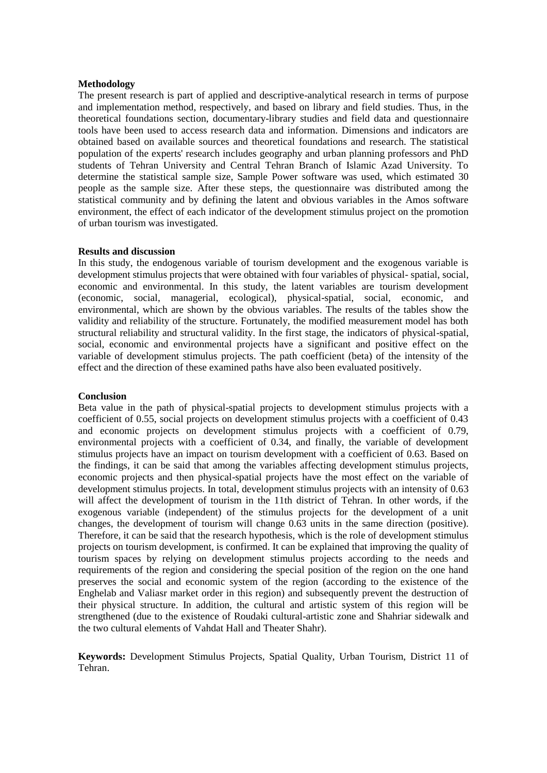#### **Methodology**

The present research is part of applied and descriptive-analytical research in terms of purpose and implementation method, respectively, and based on library and field studies. Thus, in the theoretical foundations section, documentary-library studies and field data and questionnaire tools have been used to access research data and information. Dimensions and indicators are obtained based on available sources and theoretical foundations and research. The statistical population of the experts' research includes geography and urban planning professors and PhD students of Tehran University and Central Tehran Branch of Islamic Azad University. To determine the statistical sample size, Sample Power software was used, which estimated 30 people as the sample size. After these steps, the questionnaire was distributed among the statistical community and by defining the latent and obvious variables in the Amos software environment, the effect of each indicator of the development stimulus project on the promotion of urban tourism was investigated.

#### **Results and discussion**

In this study, the endogenous variable of tourism development and the exogenous variable is development stimulus projects that were obtained with four variables of physical- spatial, social, economic and environmental. In this study, the latent variables are tourism development (economic, social, managerial, ecological), physical-spatial, social, economic, and environmental, which are shown by the obvious variables. The results of the tables show the validity and reliability of the structure. Fortunately, the modified measurement model has both structural reliability and structural validity. In the first stage, the indicators of physical-spatial, social, economic and environmental projects have a significant and positive effect on the variable of development stimulus projects. The path coefficient (beta) of the intensity of the effect and the direction of these examined paths have also been evaluated positively.

## **Conclusion**

Beta value in the path of physical-spatial projects to development stimulus projects with a coefficient of 0.55, social projects on development stimulus projects with a coefficient of 0.43 and economic projects on development stimulus projects with a coefficient of 0.79, environmental projects with a coefficient of 0.34, and finally, the variable of development stimulus projects have an impact on tourism development with a coefficient of 0.63. Based on the findings, it can be said that among the variables affecting development stimulus projects, economic projects and then physical-spatial projects have the most effect on the variable of development stimulus projects. In total, development stimulus projects with an intensity of 0.63 will affect the development of tourism in the 11th district of Tehran. In other words, if the exogenous variable (independent) of the stimulus projects for the development of a unit changes, the development of tourism will change 0.63 units in the same direction (positive). Therefore, it can be said that the research hypothesis, which is the role of development stimulus projects on tourism development, is confirmed. It can be explained that improving the quality of tourism spaces by relying on development stimulus projects according to the needs and requirements of the region and considering the special position of the region on the one hand preserves the social and economic system of the region (according to the existence of the Enghelab and Valiasr market order in this region) and subsequently prevent the destruction of their physical structure. In addition, the cultural and artistic system of this region will be strengthened (due to the existence of Roudaki cultural-artistic zone and Shahriar sidewalk and the two cultural elements of Vahdat Hall and Theater Shahr).

**Keywords:** Development Stimulus Projects, Spatial Quality, Urban Tourism, District 11 of Tehran.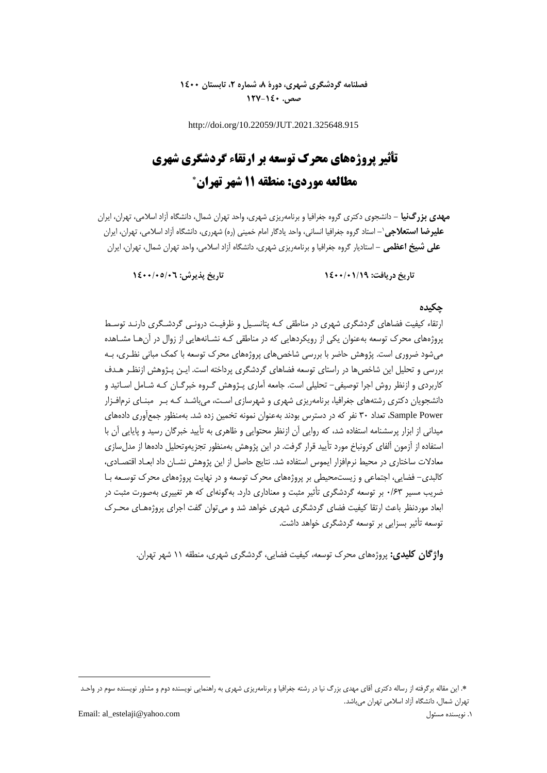# **فصلنامه گردشگری شهری، دورۀ ،8 شماره ،2 تابستان 1400 صص. 127-140**

http://doi.org/10.22059/JUT.2021.325648.915

# **تأثیر پروژههای محرک توسعه بر ارتقاء گردشگری شهری مطالعه موردی: منطقه 11 شهر تهران**

**مهدی بزرگنیا -** دانشجوی دکتری گروه جغرافیا و برنامهریزی شهری، واحد تهران شمال، دانشگاه آزاد اسالمی، تهران، ایران **-** استاد گروه جغرافیا انسانی، واحد یادگار امام خمینی )ره( شهرری، دانشگاه آزاد اسالمی، تهران، ایران <sup>1</sup> **علیرضا استعالجی علی شیخ اعظمی -** استادیار گروه جغرافیا و برنامهریزی شهری، دانشگاه آزاد اسالمی، واحد تهران شمال، تهران، ایران

**تاریخ دریافت: 1400/01/19 تاریخ پذیرش: 1400/05/06**

# **چکیده**

ارتقاه کیفیت فضاهای گردشگری شهری در مناطقی کـه پتانسـیل و ظرفیـت درونـی گردشـگری دارنـد توسـ پروژههای محرك توسعه بهعنوان یکی از رویکردهایی که در مناطقی کـه نشـانههایی از زوال در آنهـا مشـاهده میشود ضروری است. پژوهش حاضر با بررسی شاخصهای پروژههای محرك توسعه با کمک مبانی نظـری، بـه بررسی و تحلیل این شاخصها در راستای توسعه فضاهای گردشگری پرداخته است. ایـن پـژوهش ازنظـر هـدف کاربردی و ازنظر روش اجرا توصیفی- تحلیلی است. جامعه آماری پـژوهش گـروه خبرگـان کـه شـامل اسـاتید و دانشجویان دکتری رشتههای جغرافیا، برنامهریزی شهری و شهرسازی اسـت، میباشـد کـه بـر مبنـای نرمافـزار Power Sample، تعداد 30 نفر که در دسترس بودند بهعنوان نمونه تخمین زده شد. بهمنظور جمعآوری دادههای میدانی از ابزار پرسشنامه استفاده شد، که روایی آن ازنظر محتوایی و ظاهری به تأیید خبرگان رسید و پایایی آن با استفاده از آزمون آلفای کرونباخ مورد تأیید قرار گرفت. در این پژوهش بهمنظور تجزیهوتحلیل دادهها از مدلسازی معادلات ساختاری در محیط نرمافزار ایموس استفاده شد. نتایج حاصل از این پژوهش نشــان داد ابعــاد اقتصــادی، کالبدی- فضایی، اجتماعی و زیستمحیطی بر پروژههای محرك توسعه و در نهایت پروژههای محرك توسـعه بـا ضریب مسیر 0/63 بر توسعه گردشگری تأثیر مثبت و معناداری دارد. بهگونهای که هر تغییری بهصورت مثبت در ابعاد موردنظر باعث ارتقا کیفیت فضای گردشگری شهری خواهد شد و میتوان گفت اجرای پروژههـای محـرک توسعه تأثیر بسزایی بر توسعه گردشگری خواهد داشت.

**واژگان کلیدی:** پروژههای محرك توسعه، کیفیت فضایی، گردشگری شهری، منطقه 11 شهر تهران.

**.** 

<sup>.</sup> این مقاله برگرفته از رساله دکتری آقای مهدی بزرگ نیا در رشته جغرافیا و برنامهریزی شهری به راهنمایی نویسنده دوم و مشاور نویسنده سوم در واحـد تهران شمال، دانشگاه آزاد اسالمی تهران میباشد.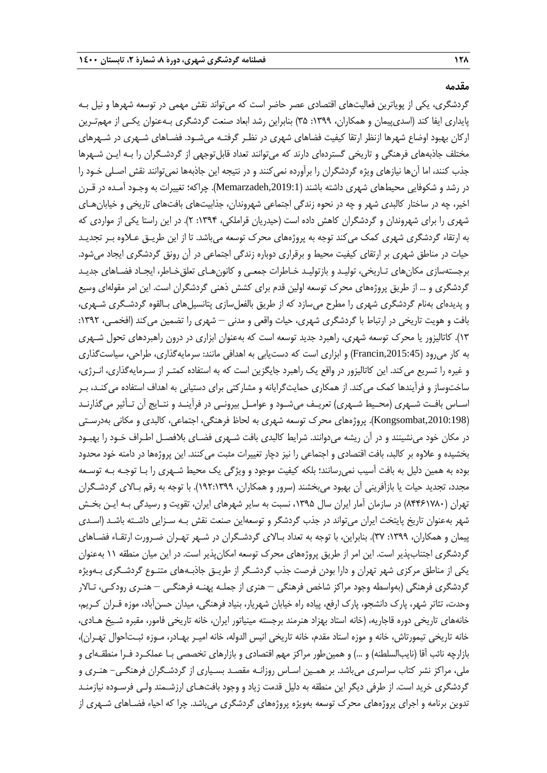#### **مقدمه**

گردشگری، یکی از پویاترین فعالیتهای اقتصادی عصر حاضر است که میتواند نقش مهمی در توسعه شهرها و نیل بـه پایداری ایفا کند (اسدیپیمان و همکاران، ١٣٩٩: ٣۵) بنابراین رشد ابعاد صنعت گردشگری بـهعنوان یکـی از مهمتـرین ارکان بهبود اوضاع شهرها ازنظر ارتقا کیفیت فضاهای شهری در نظـر گرفتـه میشـود. فضـاهای شـهری در شـهرهای مختلف جاذبههای فرهنگی و تاریخی گستردهای دارند که میتوانند تعداد قابلتوجهی از گردشـگران را بـه ایـن شـهرها جذب کنند، اما آنها نیازهای ویژه گردشگران را برآورده نمیکنند و در نتیجه این جاذبهها نمیتوانند نقش اصـلی خـود را در رشد و شکوفایی محیطهای شهری داشته باشند (Memarzadeh,2019:1). چراکه؛ تغییرات به وجـود آمـده در قـرن اخیر، چه در ساختار کالبدی شهر و چه در نحوه زندگی اجتماعی شهروندان، جذابیتهای بافتهای تاریخی و خیابانهـای شهری را برای شهروندان و گردشگران کاهش داده است (حیدریان قراملکی، ۱۳۹۴: ۲). در این راستا یکی از مواردی که به ارتقاه گردشگری شهری کمک میکند توجه به پروژههای محرك توسعه میباشد. تا از این طریـق عـالوه بـر تجدیـد حیات در مناطق شهری بر ارتقای کیفیت محیط و برقراری دوباره زندگی اجتماعی در آن رونق گردشگری ایجاد میشود. برجستهسازی مکانهای تـاریخی، تولیـد و بازتولیـد خـاطرات جمعـی و کانونهـای تعلقخـاطر، ایجـاد فضـاهای جدیـد گردشگری و ... از طریق پروژههای محرك توسعه اولین قدم برای کشش ذهنی گردشگران است. این امر مقولهای وسیع و پدیدهای بهنام گردشگری شهری را مطرح میسازد که از طریق بالفعلسازی پتانسیلهای بـالقوه گردشـگری شـهری، بافت و هویت تاریخی در ارتباط با گردشگری شهری، حیات واقعی و مدنی – شهری را تضمین میکند )افخمـی، :1392 13(. کاتالیزور یا محرك توسعه شهری، راهبرد جدید توسعه است که بهعنوان ابزاری در درون راهبردهای تحول شـهری به کار میرود ),2015:45Francin )و ابزاری است که دستیابی به اهدافی مانند: سرمایهگذاری، طراحی، سیاستگذاری و غیره را تسریع میکند. این کاتالیزور در واقع یک راهبرد جایگزین است که به استفاده کمتـر از سـرمایهگذاری، انـرژی، ساختوساز و فرآیندها کمک میکند. از همکاری حمایتگرایانه و مشارکتی برای دستیابی به اهداف استفاده میکنـد، بـر اسـاس بافـت شـهری (محـیط شـهری) تعریـف میشـود و عوامـل بیرونـی در فرآینـد و نتـایج آن تـأثیر میگذارنـد ),2010:198Kongsombat). پروژههای محرك توسعه شهری به لحاظ فرهنگی، اجتماعی، کالبدی و مکانی بهدرسـتی در مکان خود مینشینند و در آن ریشه میدوانند. شرایط کالبدی بافت شـهری فضـای بلافصـل اطـراف خـود را بهبـود بخشیده و عالوه بر کالبد، بافت اقتصادی و اجتماعی را نیز دچار تغییرات مثبت میکنند. این پروژهها در دامنه خود محدود بوده به همین دلیل به بافت آسیب نمی رسانند؛ بلکه کیفیت موجود و ویژگی یک محیط شـهری را بـا توجـه بـه توسـعه مجدد، تجدید حیات یا بازآفرینی آن بهبود میبخشند )سرور و همکاران، 192:1399(. با توجه به رقم بـاالی گردشـگران تهران (۸۴۴۶۱۷۸۰) در سازمان آمار ایران سال ۱۳۹۵، نسبت به سایر شهرهای ایران، تقویت و رسیدگی بـه ایـن بخـش شهر بهعنوان تاریخ پایتخت ایران میتواند در جذب گردشگر و توسعهاین صنعت نقش بـه سـزایی داشـته باشـد )اسـدی پیمان و همکاران، :1399 37(. بنابراین، با توجه به تعداد بـاالی گردشـگران در شـهر تهـران ضـرورت ارتقـاه فضـاهای گردشگری اجتنابپذیر است. این امر از طریق پروژههای محرك توسعه امکانپذیر است. در این میان منطقه 11 بهعنوان یکی از مناطق مرکزی شهر تهران و دارا بودن فرصت جذب گردشـگر از طریـق جاذبـههای متنـوع گردشـگری بـهویژه گردشگری فرهنگی )بهواسطه وجود مراکز شاخص فرهنگی – هنری از جملـه پهنـه فرهنگـی – هنـری رودکـی، تـاالر وحدت، تئاتر شهر، پارك دانشجو، پارك ارفع، پیاده راه خیابان شهریار، بنیاد فرهنگی، میدان حسنآباد، موزه قـران کـریم، خانههای تاریخی دوره قاجاریه، (خانه استاد بهزاد هنرمند برجسته مینیاتور ایران، خانه تاریخی فامور، مقبره شـیخ هـادی، خانه تاریخی تیمورتاش، خانه و موزه استاد مقدم، خانه تاریخی انیس الدوله، خانه امیـر بهـادر، مـوزه ثبـتاحوال تهـران(، بازارچه نائب آقا (نایبالسلطنه) و …) و همینطور مراکز مهم اقتصادی و بازارهای تخصصی بـا عملکـرد فـرا منطقـهای و ملی، مراکز نشر کتاب سراسری میباشد. بر همـین اسـاس روزانـه مقصـد بسـیاری از گردشـگران فرهنگـی- هنـری و گردشگری خرید است. از طرفی دیگر این منطقه به دلیل قدمت زیاد و وجود بافتهـای ارزشـمند ولـی فرسـوده نیازمنـد تدوین برنامه و اجرای پروژههای محرك توسعه بهویژه پروژههای گردشگری میباشد. چرا که احیاه فضـاهای شـهری از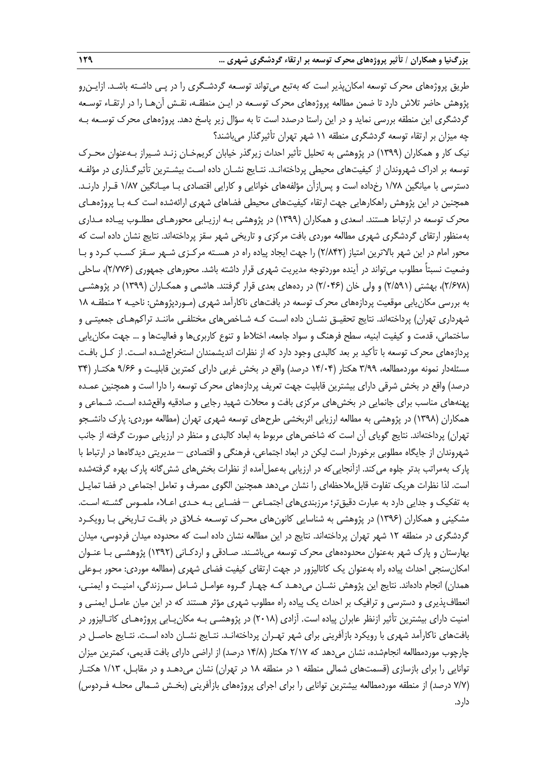طریق پروژههای محرك توسعه امکانپذیر است که بهتبع میتواند توسـعه گردشـگری را در پـی داشـته باشـد. ازایـنرو پژوهش حاضر تالش دارد تا ضمن مطالعه پروژههای محرك توسـعه در ایـن منطقـه، نقـش آنهـا را در ارتقـاه توسـعه گردشگری این منطقه بررسی نماید و در این راستا درصدد است تا به سؤال زیر پاسخ دهد. پروژههای محرك توسـعه بـه چه میزان بر ارتقاه توسعه گردشگری منطقه 11 شهر تهران تأثیرگذار میباشند؟

نیک کار و همکاران )1399( در پژوهشی به تحلیل تأثیر احداث زیرگذر خیابان کریمخـان زنـد شـیراز بـهعنوان محـرك توسعه بر ادراك شهروندان از کیفیتهای محیطی پرداختهانـد. نتـایج نشـان داده اسـت بیشـترین تأثیرگـذاری در مؤلفـه دسترسی با میانگین 1/78 رخداده است و پسازآن مؤلفههای خوانایی و کارایی اقتصادی بـا میـانگین 1/87 قـرار دارنـد. همچنین در این پژوهش راهکارهایی جهت ارتقاه کیفیتهای محیطی فضاهای شهری ارائهشده است کـه بـا پروژههـای محرك توسعه در ارتباط هستند. اسعدی و همکاران )1399( در پژوهشی بـه ارزیـابی محورهـای مطلـوب پیـاده مـداری بهمنظور ارتقای گردشگری شهری مطالعه موردی بافت مرکزی و تاریخی شهر سقز پرداختهاند. نتایج نشان داده است که محور امام در این شهر باالترین امتیاز )2/842( را جهت ایجاد پیاده راه در هسـته مرکـزی شـهر سـقز کسـب کـرد و بـا وضعیت نسبتاً مطلوب میتواند در آینده موردتوجه مدیریت شهری قرار داشته باشد. محورهای جمهوری )2/776(، ساحلی )2/678(، بهشتی )2/591( و ولی خان )2/046( در ردههای بعدی قرار گرفتند. هاشمی و همکـاران )1399( در پژوهشـی به بررسی مکانیابی موقعیت پردازههای محرك توسعه در بافتهای ناکارآمد شهری )مـوردپژوهش: ناحیـه 2 منطقـه 18 شهرداری تهران) پرداختهاند. نتایج تحقیـق نشـان داده اسـت کـه شـاخصهای مختلفـی ماننـد تراکمهـای جمعیتـی و ساختمانی، قدمت و کیفیت ابنیه، سطح فرهنگ و سواد جامعه، اختالط و تنوع کاربریها و فعالیتها و ... جهت مکانیابی پردازههای محرك توسعه با تأکید بر بعد کالبدی وجود دارد که از نظرات اندیشمندان استخراجشـده اسـت. از کـل بافـت مسئلهدار نمونه موردمطالعه، ٣/٩٩ هکتار (١۴/٠۴ درصد) واقع در بخش غربی دارای کمترین قابلیـت و ۹/۶۶ هکتـار (۳۴ درصد) واقع در بخش شرقی دارای بیشترین قابلیت جهت تعریف پردازههای محرک توسعه را دارا است و همچنین عمـده پهنههای مناسب برای جانمایی در بخشهای مرکزی بافت و محالت شهید رجایی و صادقیه واقعشده اسـت. شـماعی و همکاران )1398( در پژوهشی به مطالعه ارزیابی اثربخشی طرحهای توسعه شهری تهران )مطالعه موردی: پارك دانشـجو تهران) پرداختهاند. نتایج گویای آن است که شاخصهای مربوط به ابعاد کالبدی و منظر در ارزیابی صورت گرفته از جانب شهروندان از جایگاه مطلوبی برخوردار است لیکن در ابعاد اجتماعی، فرهنگی و اقتصادی – مدیریتی دیدگاهها در ارتباط با پارك بهمراتب بدتر جلوه میکند. ازآنجاییکه در ارزیابی بهعملآمده از نظرات بخشهای ششگانه پارك بهره گرفتهشده است. لذا نظرات هریک تفاوت قابلمالحظهای را نشان میدهد همچنین الگوی مصرف و تعامل اجتماعی در فضا تمایـل به تفکیک و جدایی دارد به عبارت دقیقتر؛ مرزبندیهای اجتمـاعی – فضـایی بـه حـدی اعـاله ملمـوس گشـته اسـت. مشکینی و همکاران (۱۳۹۶) در پژوهشی به شناسایی کانونهای محـرک توسـعه خـلاق در بافـت تـاریخی بـا رویکـرد گردشگری در منطقه 12 شهر تهران پرداختهاند. نتایج در این مطالعه نشان داده است که محدوده میدان فردوسی، میدان بهارستان و پارك شهر بهعنوان محدودههای محرك توسعه میباشـند. صـادقی و اردکـانی )1392( پژوهشـی بـا عنـوان امکانسنجی احداث پیاده راه بهعنوان یک کاتالیزور در جهت ارتقای کیفیت فضای شهری )مطالعه موردی: محور بـوعلی همدان) انجام دادهاند. نتایج این پژوهش نشــان می<code>دهـد کـه چهـار گـروه عوامـل شــامل سـرزندگی، امنیـت و ایمنــی،</code> انعطافپذیری و دسترسی و ترافیک بر احداث یک پیاده راه مطلوب شهری مؤثر هستند که در این میان عامـل ایمنـی و امنیت دارای بیشترین تأثیر ازنظر عابران پیاده است. آزادی )2018( در پژوهشـی بـه مکانیـابی پروژههـای کاتـالیزور در بافتهای ناکارآمد شهری با رویکرد بازآفرینی برای شهر تهـران پرداختهانـد. نتـایج نشـان داده اسـت. نتـایج حاصـل در چارچوب موردمطالعه انجامشده، نشان میدهد که ۲/۱۷ هکتار (۱۴/۸ درصد) از اراضی دارای بافت قدیمی، کمترین میزان توانایی را برای بازسازی (قسمتهای شمالی منطقه ۱ در منطقه ۱۸ در تهران) نشان میدهـد و در مقابـل، ۱/۱۳ هکتـار (۷/۷ درصد) از منطقه موردمطالعه بیشترین توانایی را برای اجرای پروژههای بازآفرینی (بخـش شـمالی محلـه فـردوس) دارد.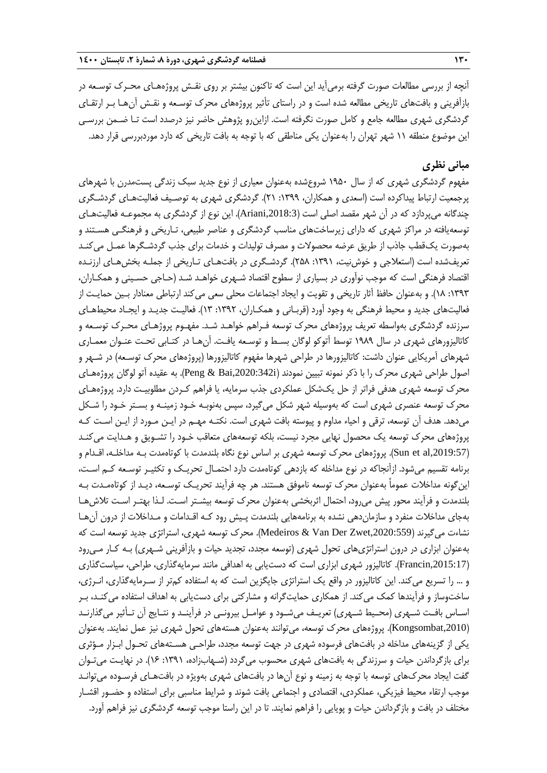آنچه از بررسی مطالعات صورت گرفته برمیآید این است که تاکنون بیشتر بر روی نقـش پروژههـای محـرك توسـعه در بازآفرینی و بافتهای تاریخی مطالعه شده است و در راستای تأثیر پروژههای محرك توسـعه و نقـش آنهـا بـر ارتقـای گردشگری شهری مطالعه جامع و کامل صورت نگرفته است. ازاینرو پژوهش حاضر نیز درصدد است تـا ضـمن بررسـی این موضوع منطقه 11 شهر تهران را بهعنوان یکی مناطقی که با توجه به بافت تاریخی که دارد موردبررسی قرار دهد.

# **مبانی نظری**

مفهوم گردشگری شهری که از سال 1950 شروعشده بهعنوان معیاری از نوع جدید سبک زندگی پستمدرن با شهرهای پرجمعیت ارتباط پیداکرده است )اسعدی و همکاران، :1399 21(. گردشگری شهری به توصـیف فعالیتهـای گردشـگری چندگانه میپردازد که در آن شهر مقصد اصلی است ),2018:3Ariani). این نوع از گردشگری به مجموعـه فعالیتهـای توسعهیافته در مراکز شهری که دارای زیرساختهای مناسب گردشگری و عناصر طبیعی، تـاریخی و فرهنگـی هسـتند و بهصورت یکقطب جاذب از طریق عرضه محصوالت و مصرف تولیدات و خدمات برای جذب گردشـگرها عمـل میکنـد تعریفشده است (استعلاجی و خوش نیت، ١٣٩١: ٢۵٨). گردشـگری در بافتهـای تـاریخی از جملـه بخشهـای ارزنـده اقتصاد فرهنگی است که موجب نوآوری در بسیاری از سطوح اقتصاد شـهری خواهـد شـد )حـاجی حسـینی و همکـاران، :1393 18(. و بهعنوان حافظ آثار تاریخی و تقویت و ایجاد اجتماعات محلی سعی میکند ارتباطی معنادار بـین حمایـت از فعالیتهای جدید و محیط فرهنگی به وجود آورد (قربـانی و همکـاران، ١٣٩٢: ١٣). فعالیـت جدیـد و ایجـاد محیطهـای سرزنده گردشگری بهواسطه تعریف پروژههای محرك توسعه فـراهم خواهـد شـد. مفهـوم پروژهـای محـرك توسـعه و کاتالیزورهای شهری در سال ۱۹۸۹ توسط آتوکو لوگان بسـط و توسـعه یافـت. آنهـا در کتـابی تحـت عنـوان معمـاری شهرهای آمریکایی عنوان داشت: کاتالیزورها در طراحی شهرها مفهوم کاتالیزورها (پروژههای محرک توسـعه) در شـهر و اصول طراحی شهری محرك را با ذکر نمونه تبیین نمودند )i,2020:342Bai & Peng). به عقیده آتو لوگان پروژههـای محرك توسعه شهری هدفی فراتر از حل یکشکل عملکردی جذب سرمایه، یا فراهم کـردن مطلوبیـت دارد. پروژههـای محرك توسعه عنصری شهری است که بهوسیله شهر شکل میگیرد، سپس بهنوبـه خـود زمینـه و بسـتر خـود را شـکل میدهد. هدف آن توسعه، ترقی و احیاه مداوم و پیوسته بافت شهری است. نکتـه مهـم در ایـن مـورد از ایـن اسـت کـه پروژههای محرك توسعه یک محصول نهایی مجرد نیست، بلکه توسعههای متعاقب خـود را تشـویق و هـدایت میکنـد ),2019:57al et Sun). پروژههای محرك توسعه شهری بر اساس نوع نگاه بلندمدت با کوتاهمدت بـه مداخلـه، اقـدام و برنامه تقسیم میشود. ازآنجاکه در نوع مداخله که بازدهی کوتاهمدت دارد احتمـال تحریـک و تکثیـر توسـعه کـم اسـت، اینگونه مداخالت عموماً بهعنوان محرك توسعه ناموفق هستند. هر چه فرآیند تحریـک توسـعه، دیـد از کوتاهمـدت بـه بلندمدت و فرآیند محور پیش میرود، احتمال اثربخشی بهعنوان محرك توسعه بیشـتر اسـت. لـذا بهتـر اسـت تالشهـا بهجای مداخالت منفرد و سازماندهی نشده به برنامههایی بلندمدت پـیش رود کـه اقـدامات و مـداخالت از درون آنهـا نشاهت میگیرند ),2020:559Zwet Der Van & Medeiros). محرك توسعه شهری، استراتژی جدید توسعه است که بهعنوان ابزاری در درون استراتژیهای تحول شهری (توسعه مجدد، تجدید حیات و بازآفرینی شـهری) بـه کـار مـی رود ),2015:17Francin). کاتالیزور شهری ابزاری است که دستیابی به اهدافی مانند سرمایهگذاری، طراحی، سیاستگذاری و ... را تسریع میکند. این کاتالیزور در واقع یک استراتژی جایگزین است که به استفاده کمتر از سـرمایهگذاری، انـرژی، ساختوساز و فرآیندها کمک میکند. از همکاری حمایتگرانه و مشارکتی برای دستیابی به اهداف استفاده میکنـد، بـر اسـاس بافـت شـهری (محـیط شـهری) تعریـف میشـود و عوامـل بیرونـی در فرآینـد و نتـایج آن تـأثیر میگذارنـد ),2010Kongsombat). پروژههای محرك توسعه، میتوانند بهعنوان هستههای تحول شهری نیز عمل نمایند. بهعنوان یکی از گزینههای مداخله در بافتهای فرسوده شهری در جهت توسعه مجدد، طراحـی هسـتههای تحـول ابـزار مـؤثری برای بازگرداندن حیات و سرزندگی به بافتهای شهری محسوب میگردد )شـهابزاده، :1391 16(. در نهایـت میتـوان گفت ایجاد محركهای توسعه با توجه به زمینه و نوع آنها در بافتهای شهری بهویژه در بافتهـای فرسـوده میتوانـد موجب ارتقاء محیط فیزیکی، عملکردی، اقتصادی و اجتماعی بافت شوند و شرایط مناسبی برای استفاده و حضـور اقشـار مختلف در بافت و بازگرداندن حیات و پویایی را فراهم نمایند. تا در این راستا موجب توسعه گردشگری نیز فراهم آورد.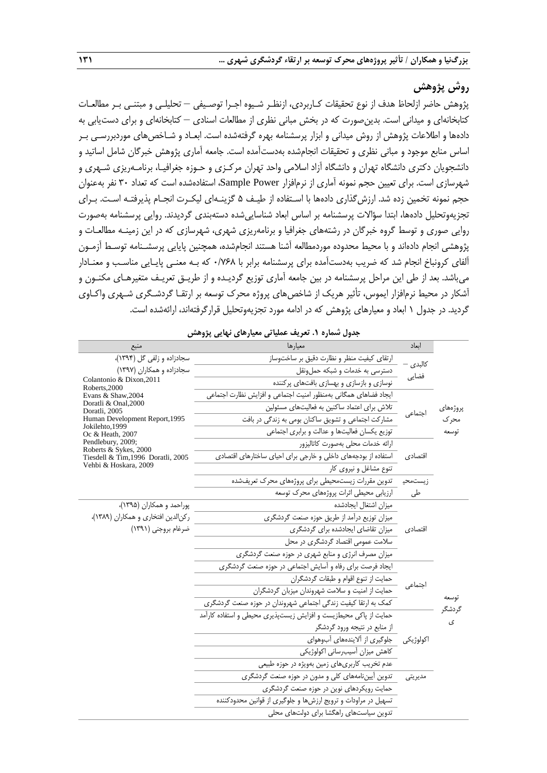# **روش پژوهش**

پژوهش حاضر ازلحاظ هدف از نوع تحقیقات کـاربردی، ازنظـر شـیوه اجـرا توصـیفی – تحلیلـی و مبتنـی بـر مطالعـات کتابخانهای و میدانی است. بدینصورت که در بخش مبانی نظری از مطالعات اسنادی – کتابخانهای و برای دستیابی به دادهها و اطالعات پژوهش از روش میدانی و ابزار پرسشنامه بهره گرفتهشده است. ابعـاد و شـاخصهای موردبررسـی بـر اساس منابع موجود و مبانی نظری و تحقیقات انجامشده بهدستآمده است. جامعه آماری پژوهش خبرگان شامل اساتید و دانشجویان دکتری دانشگاه تهران و دانشگاه آزاد اسالمی واحد تهران مرکـزی و حـوزه جغرافیـا، برنامـهریزی شـهری و شهرسازی است. برای تعیین حجم نمونه آماری از نرمافزار Power Sample، استفادهشده است که تعداد 30 نفر بهعنوان حجم نمونه تخمین زده شد. ارزشگذاری دادهها با اسـتفاده از طیـف 5 گزینـهای لیکـرت انجـام پذیرفتـه اسـت. بـرای تجزیهوتحلیل دادهها، ابتدا سؤاالت پرسشنامه بر اساس ابعاد شناساییشده دستهبندی گردیدند. روایی پرسشنامه بهصورت روایی صوری و توسط گروه خبرگان در رشتههای جغرافیا و برنامهریزی شهری، شهرسازی که در این زمینـه مطالعـات و پژوهشی انجام دادهاند و با محیط محدوده موردمطالعه آشنا هستند انجامشده، همچنین پایایی پرسشـنامه توسـط آزمـون آلفای کرونباخ انجام شد که ضریب بهدستآمده برای پرسشنامه برابر با 0/768 که بـه معنـی پایـایی مناسـب و معنـادار میباشد. بعد از طی این مراحل پرسشنامه در بین جامعه آماری توزیع گردیـده و از طریـق تعریـف متغیرهـای مکنـون و آشکار در محیط نرمافزار ایموس، تأثیر هریک از شاخصهای پروژه محرک توسعه بر ارتقـا گردشـگری شـهری واکـاوی گردید. در جدول 1 ابعاد و معیارهای پژوهش که در ادامه مورد تجزیهوتحلیل قرارگرفتهاند، ارائهشده است.

| منبع                                                        | معيارها                                                          | اىعاد    |                 |
|-------------------------------------------------------------|------------------------------------------------------------------|----------|-----------------|
| سجادزاده و زلفي گل (۱۳۹۴)،                                  | ارتقای کیفیت منظر و نظارت دقیق بر ساختوساز                       |          |                 |
| سجادزاده و همکاران (۱۳۹۷)                                   | دسترسی به خدمات و شبکه حملونقل                                   | كالېدى · |                 |
| Colantonio & Dixon, 2011<br>Roberts.2000                    | نوسازی و بازسازی و بهسازی بافتهای پرکننده                        | فضايي    |                 |
| Evans & Shaw, 2004                                          | ايجاد فضاهاى همگانى بهمنظور امنيت اجتماعى و افزايش نظارت اجتماعى |          |                 |
| Doratli & Onal, 2000<br>Doratli, 2005                       | تلاش برای اعتماد ساکنین به فعالیتهای مسئولین                     |          | پروژەھاي        |
| Human Development Report, 1995                              | مشارکت اجتماعی و تشویق ساکنان بومی به زندگی در بافت              | اجتماعى  | محرک            |
| Jokilehto, 1999<br>Oc & Heath, 2007                         | توزیع یکسان فعالیتها و عدالت و برابری اجتماعی                    |          | توسعه           |
| Pendlebury, 2009;                                           | ارائه خدمات محلى بهصورت كاتاليزور                                |          |                 |
| Roberts & Sykes, 2000<br>Tiesdell & Tim, 1996 Doratli, 2005 | استفاده از بودجههای داخلی و خارجی برای احیای ساختارهای اقتصادی   | اقتصادي  |                 |
| Vehbi & Hoskara, 2009                                       | تنوع مشاغل و نیروی کار                                           |          |                 |
|                                                             | تدوین مقررات زیستمحیطی برای پروژههای محرک تعریفشده               | زيستمحيا |                 |
|                                                             | ارزیابی محیطی اثرات پروژههای محرک توسعه                          | طی       |                 |
| پوراحمد و همکاران (۱۳۹۵)،                                   | ميزان اشتغال ايجادشده                                            |          |                 |
| ركن الدين افتخاري و همكاران (١٣٨٩)،                         | میزان توزیع درآمد از طریق حوزه صنعت گردشگری                      |          |                 |
| ضرغام بروجني (١٣٩١)                                         | میزان تقاضای ایجادشده برای گردشگری                               | اقتصادي  |                 |
|                                                             | سلامت عمومی اقتصاد گردشگری در محل                                |          |                 |
|                                                             | میزان مصرف انرژی و منابع شهری در حوزه صنعت گردشگری               |          |                 |
|                                                             | ایجاد فرصت برای رفاه و آسایش اجتماعی در حوزه صنعت گردشگری        |          |                 |
|                                                             | حمايت از تنوع اقوام و طبقات گردشگران                             | اجتماعي  |                 |
|                                                             | حمایت از امنیت و سلامت شهروندان میزبان گردشگران                  |          |                 |
|                                                             | کمک به ارتقا کیفیت زندگی اجتماعی شهروندان در حوزه صنعت گردشگری   |          | توسعه<br>گردشگر |
|                                                             | حمایت از پاکی محیطزیست و افزایش زیستپذیری محیطی و استفاده کارآمد |          | ى               |
|                                                             | از منابع در نتيجه ورود گردشگر                                    |          |                 |
|                                                             | اکولوژیکی جلوگیری از آلایندههای آبوهوای                          |          |                 |
|                                                             | كاهش ميزان أسيب رسانى اكولوژيكى                                  |          |                 |
|                                                             | عدم تخریب کاربریهای زمین بهویژه در حوزه طبیعی                    |          |                 |
|                                                             | تدوین آییننامههای کلی و مدون در حوزه صنعت گردشگری                | مديريتي  |                 |
|                                                             | حمایت رویکردهای نوین در حوزه صنعت گردشگری                        |          |                 |
|                                                             | تسهیل در مراودات و ترویج ارزشها و جلوگیری از قوانین محدودکننده   |          |                 |
|                                                             | تدوین سیاستهای راهگشا برای دولتهای محلی                          |          |                 |

**جدول شماره .1 تعریف عملیاتی معیارهای نهایی پژوهش**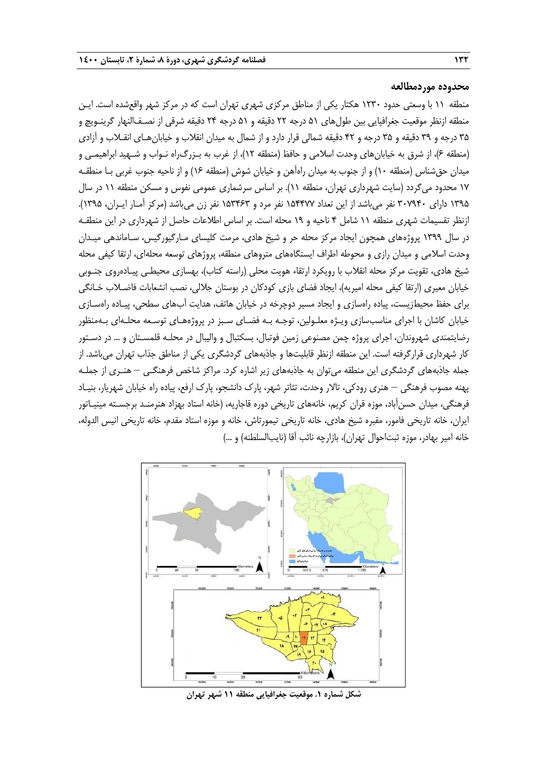#### **محدوده موردمطالعه**

منطقه 11 با وسعتی حدود 1230 هکتار یکی از مناطق مرکزی شهری تهران است که در مرکز شهر واقعشده است. ایـن منطقه ازنظر موقعیت جغرافیایی بین طولهای 51 درجه 22 دقیقه و 51 درجه 24 دقیقه شرقی از نصـفالنهار گرینـویچ و 35 درجه و 39 دقیقه و 35 درجه و 42 دقیقه شمالی قرار دارد و از شمال به میدان انقالب و خیابانهـای انقـالب و آزادی )منطقه 6(، از شرق به خیابانهای وحدت اسالمی و حافظ )منطقه 12(، از غرب به بـزرگراه نـواب و شـهید ابراهیمـی و میدان حقشناس (منطقه ۱۰) و از جنوب به میدان راهآهن و خیابان شوش (منطقه ۱۶) و از ناحیه جنوب غربی بـا منطقـه 17 محدود میگردد )سایت شهرداری تهران، منطقه 11(. بر اساس سرشماری عمومی نفوس و مسکن منطقه 11 در سال ۱۳۹۵ دارای ۳۰۷۹۴۰ نفر میباشد از این تعداد ۱۵۴۴۷۷ نفر مرد و ۱۵۳۴۶۳ نفر زن میباشد (مرکز آمـار ایــران، ۱۳۹۵). ازنظر تقسیمات شهری منطقه 11 شامل 4 ناحیه و 19 محله است. بر اساس اطالعات حاصل از شهرداری در این منطقـه در سال 1399 پروژههای همچون ایجاد مرکز محله حر و شیخ هادی، مرمت کلیسای مـارگیورگیس، سـاماندهی میـدان وحدت اسالمی و میدان رازی و محوطه اطراف ایستگاههای متروهای منطقه، پروژهای توسعه محلهای، ارتقا کیفی محله شیخ هادی، تقویت مرکز محله انقلاب با رویکرد ارتقاء هویت محلی (راسته کتاب)، بهسازی محیطـی پیـادهروی جنـوبی خیابان معیری (ارتقا کیفی محله امیریه)، ایجاد فضای بازی کودکان در بوستان جلالی، نصب انشعابات فاضـلاب خـانگی برای حفظ محیطزیست، پیاده راهسازی و ایجاد مسیر دوچرخه در خیابان هاتف، هدایت آبهای سطحی، پیـاده راهسـازی خیابان کاشان با اجرای مناسبسازی ویـژه معلـولین، توجـه بـه فضـای سـبز در پروژههـای توسـعه محلـهای بـهمنظور رضایتمندی شهروندان، اجرای پروژه چمن مصنوعی زمین فوتبال، بسکتبال و والیبال در محلـه قلمسـتان و ... در دسـتور کار شهرداری قرارگرفته است. این منطقه ازنظر قابلیتها و جاذبههای گردشگری یکی از مناطق جذاب تهران میباشد. از جمله جاذبههای گردشگری این منطقه میتوان به جاذبههای زیر اشاره کرد. مراکز شاخص فرهنگـی – هنـری از جملـه پهنه مصوب فرهنگی – هنری رودکی، تاالر وحدت، تئاتر شهر، پارك دانشجو، پارك ارفع، پیاده راه خیابان شهریار، بنیـاد فرهنگی، میدان حسنآباد، موزه قران کریم، خانههای تاریخی دوره قاجاریه، (خانه استاد بهزاد هنرمنـد برجسـته مینیـاتور ایران، خانه تاریخی فامور، مقبره شیخ هادی، خانه تاریخی تیمورتاش، خانه و موزه استاد مقدم، خانه تاریخی انیس الدوله، خانه امیر بهادر، موزه ثبتاحوال تهران)، بازارچه نائب آقا (نایبالسلطنه) و ...)



**شکل شماره .1 موقعیت جغرافیایی منطقه 11 شهر تهران**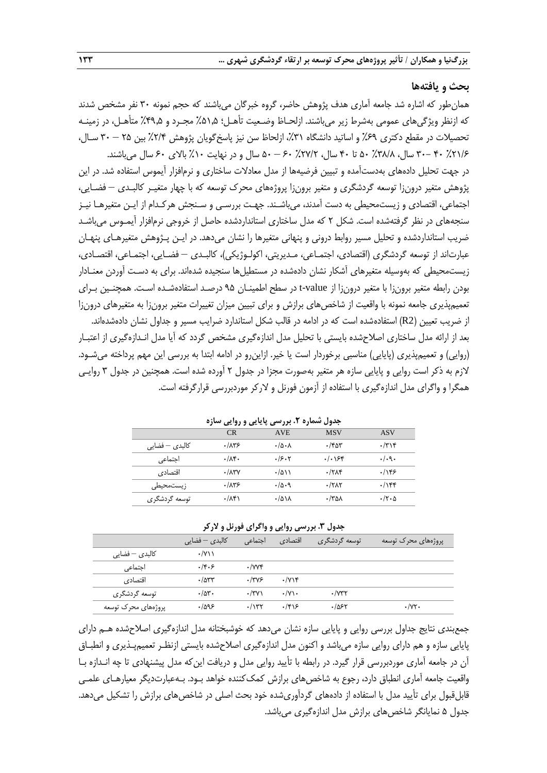#### **بحث و یافتهها**

همانطور که اشاره شد جامعه آماری هدف پژوهش حاضر، گروه خبرگان میباشند که حجم نمونه 30 نفر مشخص شدند که ازنظر ویژگیهای عمومی بهشرط زیر میباشند. ازلحـاظ وضـعیت تأهـل؛ %51.5 مجـرد و %49.5 متأهـل، در زمینـه تحصیلات در مقطع دکتری ۶۹٪ و اساتید دانشگاه ۳۱٪، ازلحاظ سن نیز پاسخگویان پژوهش ۲۸۴٪ بین ۲۵ – ۳۰ سـال، %21٪ + -٣٠ سال، ٣٨/٨٪ ۵٠ تا ۴٠ سال، ٢٧/٢٪ +۶ – ۵٠ سال و در نهایت ١٠٪ بالای ٤٠ سال می باشند.

در جهت تحلیل دادههای بهدستآمده و تبیین فرضیهها از مدل معادالت ساختاری و نرمافزار آیموس استفاده شد. در این پژوهش متغیر درونزا توسعه گردشگری و متغیر برونزا پروژههای محرك توسعه که با چهار متغیـر کالبـدی – فضـایی، اجتماعی، اقتصادی و زیستمحیطی به دست آمدند، میباشـند. جهـت بررسـی و سـنجش هرکـدام از ایـن متغیرهـا نیـز سنجههای در نظر گرفتهشده است. شکل 2 که مدل ساختاری استانداردشده حاصل از خروجی نرمافزار آیمـوس میباشـد ضریب استانداردشده و تحلیل مسیر روابط درونی و پنهانی متغیرها را نشان میدهد. در ایـن پـژوهش متغیرهـای پنهـان عبارتاند از توسعه گردشگری (اقتصادی، اجتمـاعی، مـدیریتی، اکولـوژیکی)، کالبـدی – فضـایی، اجتمـاعی، اقتصـادی، زیستمحیطی که بهوسیله متغیرهای آشکار نشان دادهشده در مستطیلها سنجیده شدهاند. برای به دسـت آوردن معنـادار بودن رابطه متغیر برونزا با متغیر درونزا از value-t در سطح اطمینـان 95 درصـد استفادهشـده اسـت. همچنـین بـرای تعمیمپذیری جامعه نمونه با واقعیت از شاخصهای برازش و برای تبیین میزان تغییرات متغیر برونزا به متغیرهای درونزا از ضریب تعیین )2R )استفادهشده است که در ادامه در قالب شکل استاندارد ضرایب مسیر و جداول نشان دادهشدهاند. بعد از ارائه مدل ساختاری اصالحشده بایستی با تحلیل مدل اندازهگیری مشخص گردد که آیا مدل انـدازهگیری از اعتبـار (روایی) و تعمیمپذیری (پایایی) مناسبی برخوردار است یا خیر. ازاینرو در ادامه ابتدا به بررسی این مهم پرداخته میشـود. الزم به ذکر است روایی و پایایی سازه هر متغیر بهصورت مجزا در جدول 2 آورده شده است. همچنین در جدول 3 روایـی همگرا و واگرای مدل اندازهگیری با استفاده از آزمون فورنل و الرکر موردبررسی قرارگرفته است.

| جدوں سمارہ ۱. بررس <i>ی</i> پایایی و روای <i>ی</i> سارہ |                    |                              |                        |              |  |  |
|---------------------------------------------------------|--------------------|------------------------------|------------------------|--------------|--|--|
|                                                         | CR                 | <b>AVE</b>                   | <b>MSV</b>             | <b>ASV</b>   |  |  |
| کالبد <i>ی</i> – فضایی                                  | ۱۸۳۶.              | $\cdot/\Delta \cdot \Lambda$ | ۳۵۳ ۰                  | $\cdot$ /۳۱۴ |  |  |
| اجتماعى                                                 | $\cdot/\lambda$ ۴۰ | .75.7                        | $. / .$ $55$           | .4.9.        |  |  |
| اقتصادى                                                 | $\cdot/\lambda$ ۳Y | $\cdot$ /۵۱۱                 | .77                    | .185         |  |  |
| زیستمحیطی                                               | .1879              | .40.9                        | $\cdot$ /۲ $\Lambda$ ۲ | .789         |  |  |
| توسعه گردشگری                                           | ۰/۸۴۱              | ۰/۵۱۸                        | ۸۵۸/۰                  | $\cdot$ /۲۰۵ |  |  |

**جدول شماره .2 بررسی پایایی و روایی سازه**

#### **جدول .3 بررسی روایی و واگرای فورنل و الرکر**

|                                     | کالبد <i>ی</i> – فضایے ِ | اجتماعی                | اقتصادي                   | توسعه گردشگری       | پروژەهای محرک توسعه   |
|-------------------------------------|--------------------------|------------------------|---------------------------|---------------------|-----------------------|
| کالبد <i>ی</i> – فضایے <sub>،</sub> | $\cdot$ /Y\\             |                        |                           |                     |                       |
| اجتماعی                             | ۰/۴۰۶                    | $\cdot$ /vv $\epsilon$ |                           |                     |                       |
| اقتصادي                             | .785                     | .1749                  | $\cdot$ / $\vee$ \ $\ast$ |                     |                       |
| توسعه گردشگری                       | $\cdot/\Delta r$ .       | $\cdot$ /۳۷)           | $\cdot$ /Y\ $\cdot$       | $\cdot$ / $\vee$ ۳۲ |                       |
| پروژەهای محرک توسعه                 | ۹۶–۱۵۹۶                  | $\cdot$ /۱۳۲           | .799                      | ۶۲ھ/۱               | $\cdot$ / $\vee\cdot$ |

جمعبندی نتایج جداول بررسی روایی و پایایی سازه نشان میدهد که خوشبختانه مدل اندازهگیری اصالحشده هـم دارای پایایی سازه و هم دارای روایی سازه میباشد و اکنون مدل اندازهگیری اصالحشده بایستی ازنظـر تعمیمپـذیری و انطبـاق آن در جامعه آماری موردبررسی قرار گیرد. در رابطه با تأیید روایی مدل و دریافت اینکه مدل پیشنهادی تا چه انـدازه بـا واقعیت جامعه آماری انطباق دارد، رجوع به شاخصهای برازش کمککننده خواهد بـود. بـهعبارتدیگر معیارهـای علمـی قابلقبول برای تأیید مدل با استفاده از دادههای گردآوریشده خود بحث اصلی در شاخصهای برازش را تشکیل میدهد. جدول ۵ نمایانگر شاخص های برازش مدل اندازهگیری می باشد.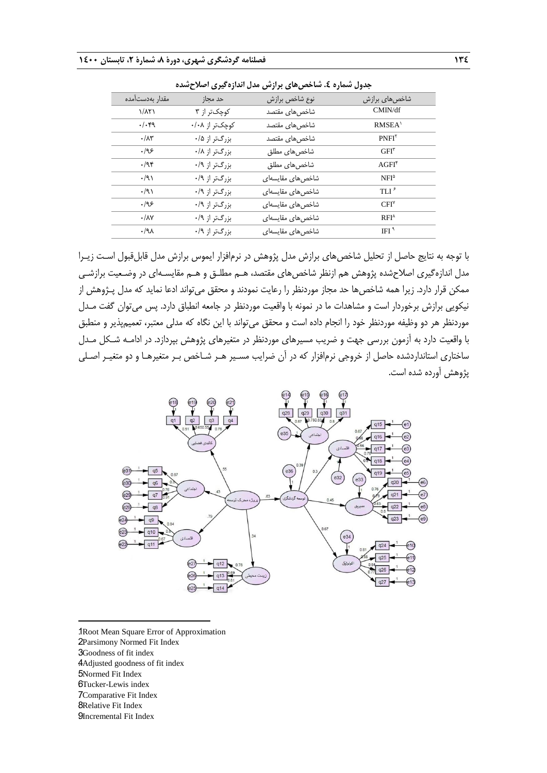| جندوں تسمارہ ٤۔ ساختص ھائی برازیں مدن اندازہ نیوی احدر حسدہ |                |                  |                                         |  |  |
|-------------------------------------------------------------|----------------|------------------|-----------------------------------------|--|--|
| مقدار بەدست مدە                                             | حد مجاز        | نوع شاخص برازش   | شاخصهای برازش                           |  |  |
| $1/\lambda$ ۲)                                              | کوچکتر از ۳    | شاخصهای مقتصد    | CMIN/df                                 |  |  |
| $\cdot/\cdot$ ۴۹                                            | کوچکتر از ۰/۰۸ | شاخصهای مقتصد    | $RMSEA$ <sup><math>\lambda</math></sup> |  |  |
| $\cdot/\lambda\tau$                                         | بزرگتر از ۰/۵  | شاخصهای مقتصد    | $PNFI^{\dagger}$                        |  |  |
| .195                                                        | بزرگتر از ۰/۸  | شاخصهای مطلق     | $GFI^{\tau}$                            |  |  |
| .44                                                         | بزرگتر از ۰/۹  | شاخصهای مطلق     | $AGFI^*$                                |  |  |
| $\cdot$ /9)                                                 | بزرگتر از ۰/۹  | شاخصهای مقایسهای | $NFI^{\delta}$                          |  |  |
| .91                                                         | بزرگتر از ۰/۹  | شاخصهای مقایسهای | $TLI^{\epsilon}$                        |  |  |
| ۱۹۶                                                         | بزرگتر از ۰/۹  | شاخصهای مقایسهای | CFI <sup>Y</sup>                        |  |  |
| $\cdot/\lambda\vee$                                         | بزرگتر از ۰/۹  | شاخصهای مقایسهای | $RFI^{\Lambda}$                         |  |  |
| $.4\lambda$                                                 | بزرگتر از ۰/۹  | شاخصهای مقایسهای | IFI $^{\dagger}$                        |  |  |

**جدول شماره .4 شاخصهای برازش مدل اندازهگیری اصالحشده**

با توجه به نتایج حاصل از تحلیل شاخصهای برازش مدل پژوهش در نرمافزار ایموس برازش مدل قابلقبول اسـت زیـرا مدل اندازهگیری اصالحشده پژوهش هم ازنظر شاخصهای مقتصد، هـم مطلـق و هـم مقایسـهای در وضـعیت برازشـی ممکن قرار دارد. زیرا همه شاخصها حد مجاز موردنظر را رعایت نمودند و محقق میتواند ادعا نماید که مدل پـژوهش از نیکویی برازش برخوردار است و مشاهدات ما در نمونه با واقعیت موردنظر در جامعه انطباق دارد. پس میتوان گفت مـدل موردنظر هر دو وظیفه موردنظر خود را انجام داده است و محقق میتواند با این نگاه که مدلی معتبر، تعمیمپذیر و منطبق با واقعیت دارد به آزمون بررسی جهت و ضریب مسیرهای موردنظر در متغیرهای پژوهش بپردازد. در ادامـه شـکل مـدل ساختاری استانداردشده حاصل از خروجی نرمافزار که در آن ضرایب مسـیر هـر شـاخص بـر متغیرهـا و دو متغیـر اصـلی پژوهش آورده شده است.



1. Root Mean Square Error of Approximation

- 2Parsimony Normed Fit Index 3Goodness of fit index
- 4. Adjusted goodness of fit index
- 5Normed Fit Index
- 6Tucker-Lewis index

-

- 7Comparative Fit Index
- **8**Relative Fit Index
- 9Incremental Fit Index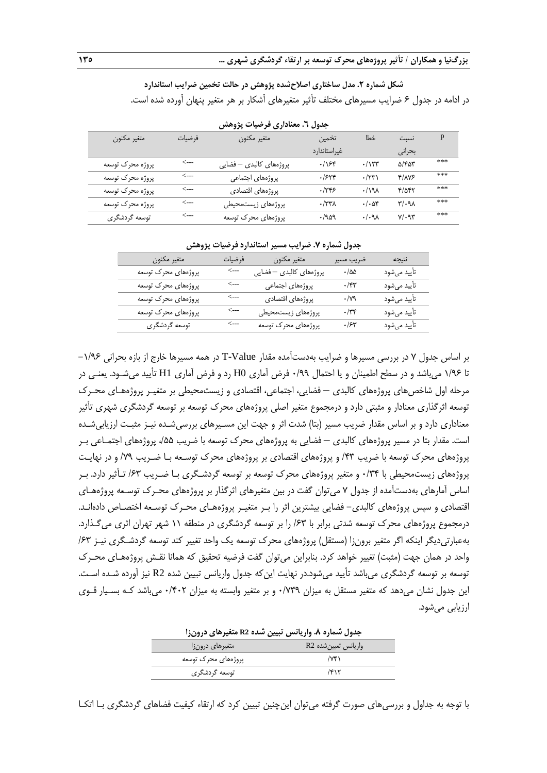**شکل شماره .2 مدل ساختاری اصالحشده پژوهش در حالت تخمین ضرایب استاندارد** در ادامه در جدول 6 ضرایب مسیرهای مختلف تأثیر متغیرهای آشکار بر هر متغیر پنهان آورده شده است.

|                  |        | - 77<br>- - - -         | . .                   |                  |               |     |
|------------------|--------|-------------------------|-----------------------|------------------|---------------|-----|
| متغير مكنون      | فرضيات | متغير مكنون             | تخمين                 | خطا              | نسبت          | p   |
|                  |        |                         | غيراستاندارد          |                  | بحرانى        |     |
| پروژه محرک توسعه | <---   | پروژەهاي كالبدى — فضايى | .188                  | .115             | $\Delta$ /۴۵۳ | *** |
| پروژه محرک توسعه | <---   | پروژەهاي اجتماعى        | .7548                 | $\cdot$ /٢٣)     | Y/AYF         | *** |
| پروژه محرک توسعه | <---   | پروژەهاي اقتصادى        | .7795                 | .191             | $f/\Delta f$  | *** |
| پروژه محرک توسعه | <---   | پروژەهای زیستمحیطی      | $\cdot$ /٣٣ $\Lambda$ | $\cdot/\cdot$ af | $N/\gamma$    | *** |
| توسعه گردشگری    | <---   | پروژەهای محرک توسعه     | .1909                 | .44              | $V/\cdot$ 9٣  | *** |

**جدول .6 معناداری فرضیات پژوهش**

| 75 - س<br>** <i>r</i> * <i>r</i><br>$J_{\alpha}$ . The contract of the contract of $J_{\alpha}$ and $J_{\alpha}$ |                  |                         |                      |              |
|------------------------------------------------------------------------------------------------------------------|------------------|-------------------------|----------------------|--------------|
| متغير مكنون                                                                                                      | فرضيات           | متغير مكنون             | ضريب مسير            | نتيجه        |
| پروژههای محرک توسعه                                                                                              | <---             | پروژەهای كالبدى — فضايى | $\cdot/\Delta\Delta$ | تأييد مىشود  |
| پروژههای محرک توسعه                                                                                              | <---             | پروژەهاي اجتماعى        | $\cdot$ /۴۳          | تأييد مىشود  |
| پروژههای محرک توسعه                                                                                              | <---             | پروژەهاي اقتصادى        | $\cdot$ /79          | تأييد مي شود |
| پروژههای محرک توسعه                                                                                              | <---             | پروژههای زیستمحیطی      | $\cdot$ /٣۴          | تأييد مىشود  |
| توسعه گردشگری                                                                                                    | $\leftarrow$ --- | پروژههای محرک توسعه     | .75                  | تأييد مي شود |
|                                                                                                                  |                  |                         |                      |              |

**جدول شماره .7 ضرایب مسیر استاندارد فرضیات پژوهش**

بر اساس جدول 7 در بررسی مسیرها و ضرایب بهدستآمده مقدار Value-T در همه مسیرها خارج از بازه بحرانی -1/96 تا 1/96 میباشد و در سطح اطمینان و یا احتمال 0/99 فرض آماری 0H رد و فرض آماری 1H تأیید میشـود. یعنـی در مرحله اول شاخصهای پروژههای کالبدی – فضایی، اجتماعی، اقتصادی و زیستمحیطی بر متغیـر پروژههـای محـرك توسعه اثرگذاری معنادار و مثبتی دارد و درمجموع متغیر اصلی پروژههای محرك توسعه بر توسعه گردشگری شهری تأثیر معناداری دارد و بر اساس مقدار ضریب مسیر (بتا) شدت اثر و جهت این مسـیرهای بررسی٬شـده نیـز مثبـت ارزیابی٬شـده است. مقدار بتا در مسیر پروژههای کالبدی – فضایی به پروژههای محرك توسعه با ضریب ،/55 پروژههای اجتمـاعی بـر پروژههای محرك توسعه با ضریب /43 و پروژههای اقتصادی بر پروژههای محرك توسـعه بـا ضـریب /79 و در نهایـت پروژههای زیستمحیطی با 0/34 و متغیر پروژههای محرك توسعه بر توسعه گردشـگری بـا ضـریب /63 تـأثیر دارد. بـر اساس آمارهای بهدستآمده از جدول 7 میتوان گفت در بین متغیرهای اثرگذار بر پروژههای محـرك توسـعه پروژههـای اقتصادی و سپس پروژههای کالبدی- فضایی بیشترین اثر را بـر متغیـر پروژههـای محـرك توسـعه اختصـاص دادهانـد. درمجموع پروژههای محرك توسعه شدتی برابر با /63 را بر توسعه گردشگری در منطقه 11 شهر تهران اثری میگـذارد. بهعبارتیدیگر اینکه اگر متغیر برونزا )مستقل( پروژههای محرك توسعه یک واحد تغییر کند توسعه گردشـگری نیـز /63 واحد در همان جهت (مثبت) تغییر خواهد کرد. بنابراین می توان گفت فرضیه تحقیق که همانا نقـش پروژههـای محـرک توسعه بر توسعه گردشگری میباشد تأیید میشود.در نهایت اینکه جدول واریانس تبیین شده 2R نیز آورده شـده اسـت. این جدول نشان میدهد که متغیر مستقل به میزان 0/739 و بر متغیر وابسته به میزان 0/402 میباشد کـه بسـیار قـوی ارزیابی میشود.

| جدول شماره ٨. واریانس تبیین شده R2 متغیرهای درونزا |                      |  |  |
|----------------------------------------------------|----------------------|--|--|
| متغیرهای درون;ا                                    | واریانس تعیین شده R2 |  |  |
| پروژەهای محرک توسعه                                | $\sqrt{r}$           |  |  |
| توسعه گردشگری                                      | ۱۴۱۲                 |  |  |

با توجه به جداول و بررسیهای صورت گرفته میتوان اینچنین تبیین کرد که ارتقاه کیفیت فضاهای گردشگری بـا اتکـا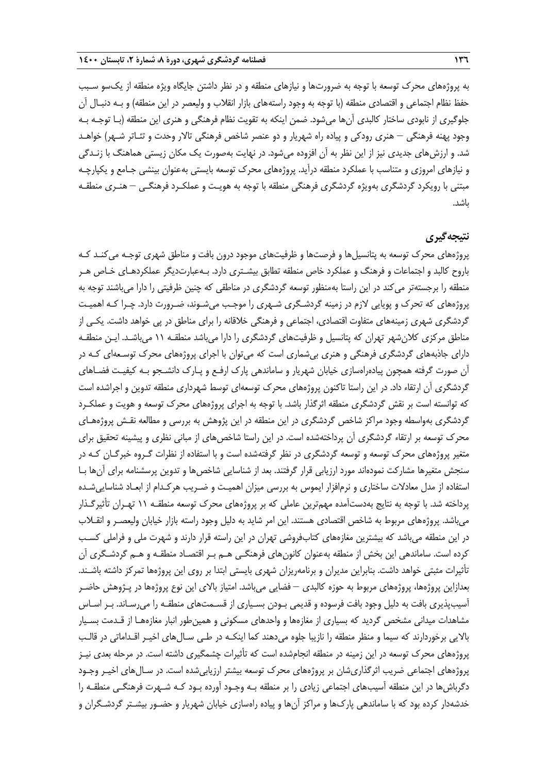به پروژههای محرك توسعه با توجه به ضرورتها و نیازهای منطقه و در نظر داشتن جایگاه ویژه منطقه از یکسو سـبب حفظ نظام اجتماعی و اقتصادی منطقه (با توجه به وجود راستههای بازار انقلاب و ولیعصر در این منطقه) و بـه دنبـال ان جلوگیری از نابودی ساختار کالبدی آنها میشود. ضمن اینکه به تقویت نظام فرهنگی و هنری این منطقه )بـا توجـه بـه وجود پهنه فرهنگی — هنری رودکی و پیاده راه شهریار و دو عنصر شاخص فرهنگی تالار وحدت و تئـاتر شـهر) خواهـد شد. و ارزشهای جدیدی نیز از این نظر به آن افزوده میشود. در نهایت بهصورت یک مکان زیستی هماهنگ با زنـدگی و نیازهای امروزی و متناسب با عملکرد منطقه درآید. پروژههای محرك توسعه بایستی بهعنوان بینشی جـامع و یکپارچـه مبتنی با رویکرد گردشگری بهویژه گردشگری فرهنگی منطقه با توجه به هویـت و عملکـرد فرهنگـی – هنـری منطقـه باشد.

# **نتیجهگیری**

پروژههای محرك توسعه به پتانسیلها و فرصتها و ظرفیتهای موجود درون بافت و مناطق شهری توجـه میکنـد کـه باروح کالبد و اجتماعات و فرهنگ و عملکرد خاص منطقه تطابق بیشـتری دارد. بـهعبارتدیگر عملکردهـای خـاص هـر منطقه را برجستهتر میکند در این راستا بهمنظور توسعه گردشگری در مناطقی که چنین ظرفیتی را دارا میباشند توجه به پروژههای که تحرك و پویایی الزم در زمینه گردشـگری شـهری را موجـب میشـوند، ضـرورت دارد. چـرا کـه اهمیـت گردشگری شهری زمینههای متفاوت اقتصادی، اجتماعی و فرهنگی خالقانه را برای مناطق در پی خواهد داشت. یکـی از مناطق مرکزی کالنشهر تهران که پتانسیل و ظرفیتهای گردشگری را دارا میباشد منطقـه 11 میباشـد. ایـن منطقـه دارای جاذبههای گردشگری فرهنگی و هنری بیشماری است که میتوان با اجرای پروژههای محرك توسـعهای کـه در آن صورت گرفته همچون پیادهراهسازی خیابان شهریار و ساماندهی پارك ارفـع و پـارك دانشـجو بـه کیفیـت فضـاهای گردشگری آن ارتقاء داد. در این راستا تاکنون پروژههای محرک توسعهای توسط شهرداری منطقه تدوین و اجراشده است که توانسته است بر نقش گردشگری منطقه اثرگذار باشد. با توجه به اجرای پروژههای محرك توسعه و هویت و عملکـرد گردشگری بهواسطه وجود مراکز شاخص گردشگری در این منطقه در این پژوهش به بررسی و مطالعه نقـش پروژههـای محرك توسعه بر ارتقاه گردشگری آن پرداختهشده است. در این راستا شاخصهای از مبانی نظری و پیشینه تحقیق برای متغیر پروژههای محرك توسعه و توسعه گردشگری در نظر گرفتهشده است و با استفاده از نظرات گـروه خبرگـان کـه در سنجش متغیرها مشارکت نمودهاند مورد ارزیابی قرار گرفتند. بعد از شناسایی شاخصها و تدوین پرسشنامه برای آنها بـا استفاده از مدل معادالت ساختاری و نرمافزار ایموس به بررسی میزان اهمیـت و ضـریب هرکـدام از ابعـاد شناساییشـده پرداخته شد. با توجه به نتایج بهدستآمده مهمترین عاملی که بر پروژههای محرك توسعه منطقـه 11 تهـران تأثیرگـذار میباشد. پروژههای مربوط به شاخص اقتصادی هستند. این امر شاید به دلیل وجود راسته بازار خیابان ولیعصـر و انقـالب در این منطقه میباشد که بیشترین مغازههای کتابفروشی تهران در این راسته قرار دارند و شهرت ملی و فراملی کسـب کرده است. ساماندهی این بخش از منطقه بهعنوان کانونهای فرهنگـی هـم بـر اقتصـاد منطقـه و هـم گردشـگری آن تأثیرات مثبتی خواهد داشت. بنابراین مدیران و برنامهریزان شهری بایستی ابتدا بر روی این پروژهها تمرکز داشته باشـند. بعدازاین پروژهها، پروژههای مربوط به حوزه کالبدی – فضایی میباشد. امتیاز باالی این نوع پروژهها در پـژوهش حاضـر آسیبپذیری بافت به دلیل وجود بافت فرسوده و قدیمی بـودن بسـیاری از قسـمتهای منطقـه را میرسـاند. بـر اسـاس مشاهدات میدانی مشخص گردید که بسیاری از مغازهها و واحدهای مسکونی و همینطور انبار مغازههـا از قـدمت بسـیار باالیی برخوردارند که سیما و منظر منطقه را نازیبا جلوه میدهند کما اینکـه در طـی سـالهای اخیـر اقـداماتی در قالـب پروژههای محرك توسعه در این زمینه در منطقه انجامشده است که تأثیرات چشمگیری داشته است. در مرحله بعدی نیـز پروژههای اجتماعی ضریب اثرگذاریشان بر پروژههای محرك توسعه بیشتر ارزیابیشده است. در سـالهای اخیـر وجـود دگرباشها در این منطقه آسیبهای اجتماعی زیادی را بر منطقه بـه وجـود آورده بـود کـه شـهرت فرهنگـی منطقـه را خدشهدار کرده بود که با ساماندهی پاركها و مراکز آنها و پیاده راهسازی خیابان شهریار و حضـور بیشـتر گردشـگران و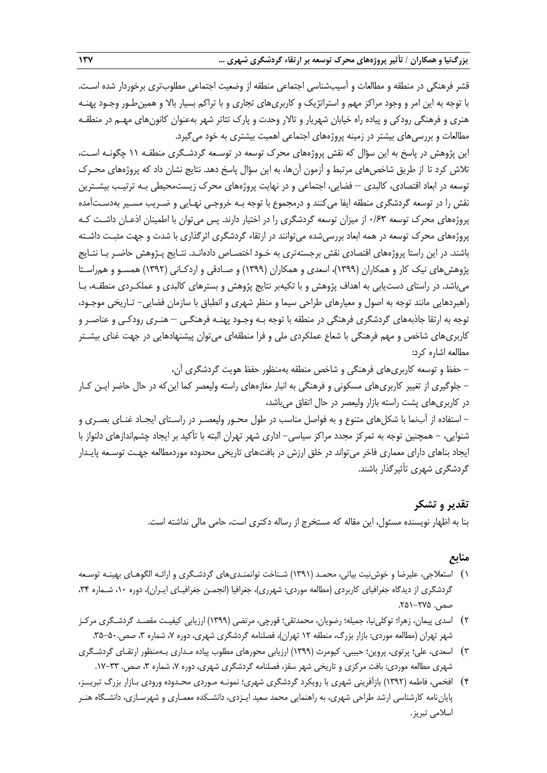قشر فرهنگی در منطقه و مطالعات و آسیبشناسی اجتماعی منطقه از وضعیت اجتماعی مطلوبتری برخوردار شده اسـت. با توجه به این امر و وجود مراکز مهم و استراتژیک و کاربریهای تجاری و با تراکم بسیار باال و همینطـور وجـود پهنـه هنری و فرهنگی رودکی و پیاده راه خیابان شهریار و تاالر وحدت و پارك تئاتر شهر بهعنوان کانونهای مهـم در منطقـه مطالعات و بررسیهای بیشتر در زمینه پروژههای اجتماعی اهمیت بیشتری به خود میگیرد.

این پژوهش در پاسخ به این سؤال که نقش پروژههای محرك توسعه در توسـعه گردشـگری منطقـه 11 چگونـه اسـت، تلاش کرد تا از طریق شاخصهای مرتبط و آزمون آنها، به این سؤال پاسخ دهد. نتایج نشان داد که پروژههای محـرک توسعه در ابعاد اقتصادی، کالبدی – فضایی، اجتماعی و در نهایت پروژههای محرك زیستمحیطی بـه ترتیـب بیشـترین نقش را در توسعه گردشگری منطقه ایفا میکنند و درمجموع با توجه بـه خروجـی نهـایی و ضـریب مسـیر بهدسـتآمده پروژههای محرك توسعه 0/63 از میزان توسعه گردشگری را در اختیار دارند. پس میتوان با اطمینان اذعـان داشـت کـه پروژههای محرك توسعه در همه ابعاد بررسیشده میتوانند در ارتقاه گردشگری اثرگذاری با شدت و جهت مثبـت داشـته باشند. در این راستا پروژههای اقتصادی نقش برجستهتری به خـود اختصـاص دادهانـد. نتـایج پـژوهش حاضـر بـا نتـایج پژوهشهای نیک کار و همکاران (۱۳۹۹)، اسعدی و همکاران (۱۳۹۹) و صـادقی و اردکـانی (۱۳۹۲) همسـو و همراسـتا میباشد. در راستای دستیابی به اهداف پژوهش و با تکیهبر نتایج پژوهش و بسترهای کالبدی و عملکـردی منطقـه، بـا راهبردهایی مانند توجه به اصول و معیارهای طراحی سیما و منظر شهری و انطباق با سازمان فضایی- تـاریخی موجـود، توجه به ارتقا جاذبههای گردشگری فرهنگی در منطقه با توجه بـه وجـود پهنـه فرهنگـی – هنـری رودکـی و عناصـر و کاربریهای شاخص و مهم فرهنگی با شعاع عملکردی ملی و فرا منطقهای میتوان پیشنهادهایی در جهت غنای بیشـتر مطالعه اشاره کرد:

- حفظ و توسعه کاربریهای فرهنگی و شاخص منطقه بهمنظور حفظ هویت گردشگری آن، - جلوگیری از تغییر کاربریهای مسکونی و فرهنگی به انبار مغازههای راسته ولیعصر کما اینکه در حال حاضر ایـن کـار در کاربریهای پشت راسته بازار ولیعصر در حال اتفاق میباشد،

- استفاده از آبنما با شکلهای متنوع و به فواصل مناسب در طول محـور ولیعصـر در راسـتای ایجـاد غنـای بصـری و شنوایی، - همچنین توجه به تمرکز مجدد مراکز سیاسی- اداری شهر تهران البته با تأکید بر ایجاد چشماندازهای دلنواز با ایجاد بناهای دارای معماری فاخر میتواند در خلق ارزش در بافتهای تاریخی محدوده موردمطالعه جهـت توسـعه پایـدار گردشگری شهری تأثیرگذار باشند.

# **تقدیر و تشکر**

بنا به اظهار نویسنده مسئول، این مقاله که مستخرج از رساله دکتری است، حامی مالی نداشته است.

# **منابع**

- 1( استعالجی، علیرضا و خوشنیت بیاتی، محمـد )1391( شـناخت توانمنـدیهای گردشـگری و ارائـه الگوهـای بهینـه توسـعه گردشگری از دیدگاه جغرافیای کاربردی (مطالعه موردی: شهرری)، جغرافیا (انجمـن جغرافیـای ایـران)، دوره ۱۰، شـماره ۳۴، صص. ۲۵۵–۲۵۱.
- 2( اسدی پیمان، زهرا؛ توکلینیا، جمیله؛ رضویان، محمدتقی؛ قورچی، مرتضی )1399( ارزیابی کیفیـت مقصـد گردشـگری مرکـز شهر تهران (مطالعه موردی: بازار بزرگ، منطقه ۱۲ تهران)، فصلنامه گردشگری شهری، دوره ۷، شماره ۳، صص.۵۰-۳۵.
- 3( اسعدی، علی؛ پرتوی، پروین؛ حبیبی، کیومرث )1399( ارزیابی محورهای مطلوب پیاده مـداری بـهمنظور ارتقـای گردشـگری شهری مطالعه موردی: بافت مرکزی و تاریخی شهر سقز، فصلنامه گردشگری شهری، دوره ۷، شماره ۳، صص. ۳۳-۱۷.
- 4( افخمی، فاطمه )1392( بازآفرینی شهری با رویکرد گردشگری شهری؛ نمونـه مـوردی محـدوده ورودی بـازار بزرگ تبریــز، پایاننامه کارشناسی ارشد طراحی شهری، به راهنمایی محمد سعید ایـزدی، دانشـکده معمـاری و شهرسـازی، دانشـگاه هنـر اسالمی تبریز.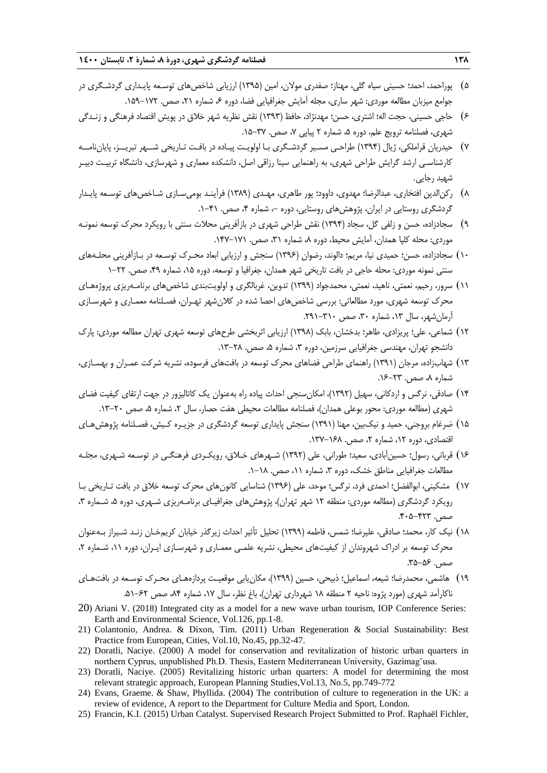- ۵) پوراحمد، احمد؛ حسینی سیاه گلی، مهناز؛ صفدری مولان، امین (۱۳۹۵) ارزیابی شاخص های توسـعه پایـداری گردشـگری در جوامع میزبان مطالعه موردی: شهر ساری، مجله آمایش جغرافیایی فضا، دوره ۶، شماره ۲۱، صص. ۱۷۲–۱۵۹.
- 6( حاجی حسینی، حجت اله؛ اشتری، حسن؛ مهدنژاد، حافظ )1393( نقش نظریه شهر خالق در پویش اقتصاد فرهنگی و زنـدگی شهری، فصلنامه ترویج علم، دوره ۵، شماره ۲ پیاپی ۷، صص. ۳۷-۱۵.
- 7( حیدریان قراملکی، ژیال )1394( طراحـی مسـیر گردشـگری بـا اولویـت پیـاده در بافـت تـاریخی شــهر تبریــز، پایاننامــه کارشناسـی ارشد گرایش طراحی شهری، به راهنمایی سینا رزاقی اصل، دانشکده معماری و شهرسازی، دانشگاه تربیـت دبیـر شهید رجایی.
- 8( رکنالدین افتخاری، عبدالرضا؛ مهدوی، داوود؛ پور طاهری، مهـدی )1389( فرآینـد بومیسـازی شـاخصهای توسـعه پایـدار گردشگری روستایی در ایران، پژوهشهای روستایی، دوره –، شماره ۴، صص. ۴۱-۱.
- 9( سجادزاده، حسن و زلفی گل، سجاد )1394( نقش طراحی شهری در بازآفرینی محالت سنتی با رویکرد محرك توسعه نمونـه موردی: محله کلپا همدان، آمایش محیط، دوره ۸، شماره ۳۱، صص. ۱۷۱-۱۴۷.
- 10( سجادزاده، حسن؛ حمیدی نیا، مریم؛ دالوند، رضوان )1396( سنجش و ارزیابی ابعاد محـرك توسـعه در بـازآفرینی محلـههای سنتی نمونه موردی: محله حاجی در بافت تاریخی شهر همدان، جغرافیا و توسعه، دوره ۱۵، شماره ۴۹، صص. ۲۲–۱
- 11( سرور، رحیم، نعمتی، ناهید، نعمتی، محمدجواد )1399( تدوین، غربالگری و اولویتبندی شاخصهای برنامـهریزی پروژههـای محرك توسعه شهری، مورد مطالعاتی: بررسی شاخصهای احصا شده در کالنشهر تهـران، فصـلنامه معمـاری و شهرسـازی آرمان شهر، سال ۱۳، شماره ۳۰، صص ۳۱۰-۲۹۱.
- 12( شماعی، علی؛ پریزادی، طاهر؛ بدخشان، بابک )1398( ارزیابی اثربخشی طرحهای توسعه شهری تهران مطالعه موردی: پارك دانشجو تهران، مهندسی جغرافیایی سرزمین، دوره ۳، شماره ۵، صص. ۲۸–۱۳.
- 13( شهابزاده، مرجان )1391( راهنمای طراحی فضاهای محرك توسعه در بافتهای فرسوده، نشریه شرکت عمـران و بهسـازی، شماره ۸، صص. ۲۳-۱۶.
- 14( صادقی، نرگس و اردکانی، سهیل )1392(، امکانسنجی احداث پیاده راه بهعنوان یک کاتالیزور در جهت ارتقای کیفیت فضای شهری (مطالعه موردی: محور بوعلی همدان)، فصلنامه مطالعات محیطی هفت حصار، سال ۲، شماره ۵، صص ۲۰-۱۳.
- 15( ضرغام بروجنی، حمید و نیکبین، مهنا )1391( سنجش پایداری توسعه گردشگری در جزیـره کـیش، فصـلنامه پژوهشهـای اقتصادی، دوره ۱۲، شماره ۲، صص. ۱۶۸-۱۳۷.
- 16( قربانی، رسول؛ حسینآبادی، سعید؛ طورانی، علی )1392( شـهرهای خـالق، رویکـردی فرهنگـی در توسـعه شـهری، مجلـه مطالعات جغرافیایی مناطق خشک، دوره ،3 شماره ،11 صص. .1-18
- 17( مشکینی، ابوالفضل؛ احمدی فرد، نرگس؛ موحد، علی )1396( شناسایی کانونهای محرك توسعه خالق در بافت تـاریخی بـا رویکرد گردشگری (مطالعه موردی: منطقه ۱۲ شهر تهران)، پژوهش های جغرافیـای برنامـهریزی شـهری، دوره ۵، شـماره ۳،  $A - 14 - 6 - 7$ .
- 18( نیک کار، محمد؛ صادقی، علیرضا؛ شمس، فاطمه )1399( تحلیل تأثیر احداث زیرگذر خیابان کریمخـان زنـد شـیراز بـهعنوان محرك توسعه بر ادراك شهروندان از کیفیتهای محیطی، نشریه علمـی معمـاری و شهرسـازی ایـران، دوره ،11 شـماره ،2 صص. ۵۶–۳۵.
- 19( هاشمی، محمدرضا؛ شیعه، اسماعیل؛ ذبیحی، حسین )1399(، مکانیابی موقعیـت پردازههـای محـرك توسـعه در بافتهـای ناکارآمد شهری (مورد پژوه: ناحیه ۲ منطقه ۱۸ شهرداری تهران)، باغ نظر، سال ۱۷، شماره ۸۴، صص ۶۲–۵۱.
- 20) Ariani V. (2018) Integrated city as a model for a new wave urban tourism, IOP Conference Series: Earth and Environmental Science, Vol.126, pp.1-8.
- 21) Colantonio, Andrea. & Dixon, Tim. (2011) Urban Regeneration & Social Sustainability: Best Practice from European, Cities, Vol.10, No.45, pp.32-47.
- 22) Doratli, Naciye. (2000) A model for conservation and revitalization of historic urban quarters in northern Cyprus, unpublished Ph.D. Thesis, Eastern Mediterranean University, Gazimag˘usa.
- 23) Doratli, Naciye. (2005) Revitalizing historic urban quarters: A model for determining the most relevant strategic approach, European Planning Studies,Vol.13, No.5, pp.749-772
- 24) Evans, Graeme. & Shaw, Phyllida. (2004) The contribution of culture to regeneration in the UK: a review of evidence, A report to the Department for Culture Media and Sport, London.
- 25) Francin, K.I. (2015) Urban Catalyst. Supervised Research Project Submitted to Prof. Raphaël Fichler,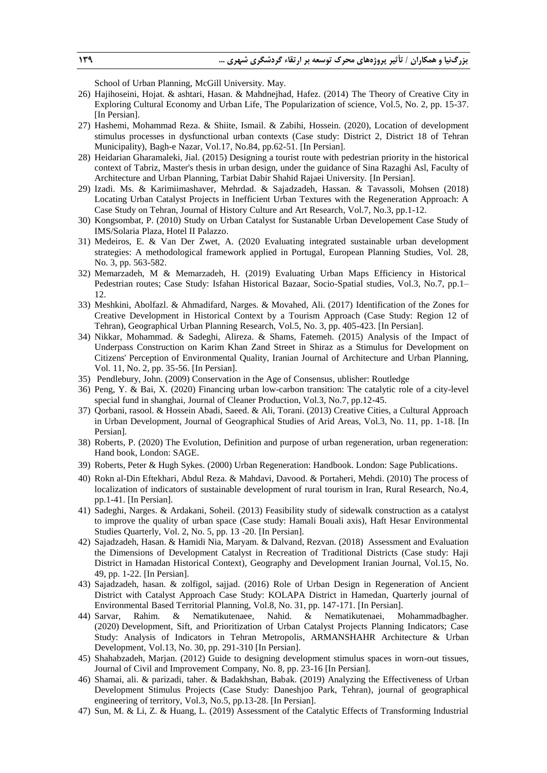School of Urban Planning, McGill University. May.

- 26) Hajihoseini, Hojat. & ashtari, Hasan. & Mahdnejhad, Hafez. (2014) The Theory of Creative City in Exploring Cultural Economy and Urban Life, The Popularization of science, Vol.5, No. 2, pp. 15-37. [In Persian].
- 27) Hashemi, Mohammad Reza. & Shiite, Ismail. & Zabihi, Hossein. (2020), Location of development stimulus processes in dysfunctional urban contexts (Case study: District 2, District 18 of Tehran Municipality), Bagh-e Nazar, Vol.17, No.84, pp.62-51. [In Persian].
- 28) Heidarian Gharamaleki, Jial. (2015) Designing a tourist route with pedestrian priority in the historical context of Tabriz, Master's thesis in urban design, under the guidance of Sina Razaghi Asl, Faculty of Architecture and Urban Planning, Tarbiat Dabir Shahid Rajaei University. [In Persian].
- 29) Izadi. Ms. & Karimiimashaver, Mehrdad. & Sajadzadeh, Hassan. & Tavassoli, Mohsen (2018) Locating Urban Catalyst Projects in Inefficient Urban Textures with the Regeneration Approach: A Case Study on Tehran, Journal of History Culture and Art Research, Vol.7, No.3, pp.1-12.
- 30) Kongsombat, P. (2010) Study on Urban Catalyst for Sustanable Urban Developement Case Study of IMS/Solaria Plaza, Hotel II Palazzo.
- 31) Medeiros, E. & Van Der Zwet, A. (2020 Evaluating integrated sustainable urban development strategies: A methodological framework applied in Portugal, European Planning Studies, Vol. 28, No. 3, pp. 563-582.
- 32) Memarzadeh, M & Memarzadeh, H. (2019) Evaluating Urban Maps Efficiency in Historical Pedestrian routes; Case Study: Isfahan Historical Bazaar, Socio-Spatial studies, Vol.3, No.7, pp.1– 12.
- 33) Meshkini, Abolfazl. & Ahmadifard, Narges. & Movahed, Ali. (2017) Identification of the Zones for Creative Development in Historical Context by a Tourism Approach (Case Study: Region 12 of Tehran), Geographical Urban Planning Research, Vol.5, No. 3, pp. 405-423. [In Persian].
- 34) Nikkar, Mohammad. & Sadeghi, Alireza. & Shams, Fatemeh. (2015) Analysis of the Impact of Underpass Construction on Karim Khan Zand Street in Shiraz as a Stimulus for Development on Citizens' Perception of Environmental Quality, Iranian Journal of Architecture and Urban Planning, Vol. 11, No. 2, pp. 35-56. [In Persian].
- 35) Pendlebury, John. (2009) Conservation in the Age of Consensus, ublisher: Routledge
- 36) Peng, Y. & Bai, X. (2020) Financing urban low-carbon transition: The catalytic role of a city-level special fund in shanghai, Journal of Cleaner Production, Vol.3, No.7, pp.12-45.
- 37) Qorbani, rasool. & Hossein Abadi, Saeed. & Ali, Torani. (2013) Creative Cities, a Cultural Approach in Urban Development, Journal of Geographical Studies of Arid Areas, Vol.3, No. 11, pp. 1-18. [In Persian].
- 38) Roberts, P. (2020) The Evolution, Definition and purpose of urban regeneration, urban regeneration: Hand book, London: SAGE.
- 39) Roberts, Peter & Hugh Sykes. (2000) Urban Regeneration: Handbook. London: Sage Publications.
- 40) Rokn al-Din Eftekhari, Abdul Reza. & Mahdavi, Davood. & Portaheri, Mehdi. (2010) The process of localization of indicators of sustainable development of rural tourism in Iran, Rural Research, No.4, pp.1-41. [In Persian].
- 41) Sadeghi, Narges. & Ardakani, Soheil. (2013) Feasibility study of sidewalk construction as a catalyst to improve the quality of urban space (Case study: Hamali Bouali axis), Haft Hesar Environmental Studies Quarterly, Vol. 2, No. 5, pp. 13 -20. [In Persian].
- 42) Sajadzadeh, Hasan. & Hamidi Nia, Maryam. & Dalvand, Rezvan. (2018) Assessment and Evaluation the Dimensions of Development Catalyst in Recreation of Traditional Districts (Case study: Haji District in Hamadan Historical Context), Geography and Development Iranian Journal, Vol.15, No. 49, pp. 1-22. [In Persian].
- 43) Sajadzadeh, hasan. & zolfigol, sajjad. (2016) Role of Urban Design in Regeneration of Ancient District with Catalyst Approach Case Study: KOLAPA District in Hamedan, Quarterly journal of Environmental Based Territorial Planning, Vol.8, No. 31, pp. 147-171. [In Persian].
- 44) Sarvar, Rahim. & Nematikutenaee, Nahid. & Nematikutenaei, Mohammadbagher. (2020) Development, Sift, and Prioritization of Urban Catalyst Projects Planning Indicators; Case Study: Analysis of Indicators in Tehran Metropolis, ARMANSHAHR Architecture & Urban Development, Vol.13, No. 30, pp. 291-310 [In Persian].
- 45) Shahabzadeh, Marjan. (2012) Guide to designing development stimulus spaces in worn-out tissues, Journal of Civil and Improvement Company, No. 8, pp. 23-16 [In Persian].
- 46) Shamai, ali. & parizadi, taher. & Badakhshan, Babak. (2019) Analyzing the Effectiveness of Urban Development Stimulus Projects (Case Study: Daneshjoo Park, Tehran), journal of geographical engineering of territory, Vol.3, No.5, pp.13-28. [In Persian].
- 47) Sun, M. & Li, Z. & Huang, L. (2019) Assessment of the Catalytic Effects of Transforming Industrial